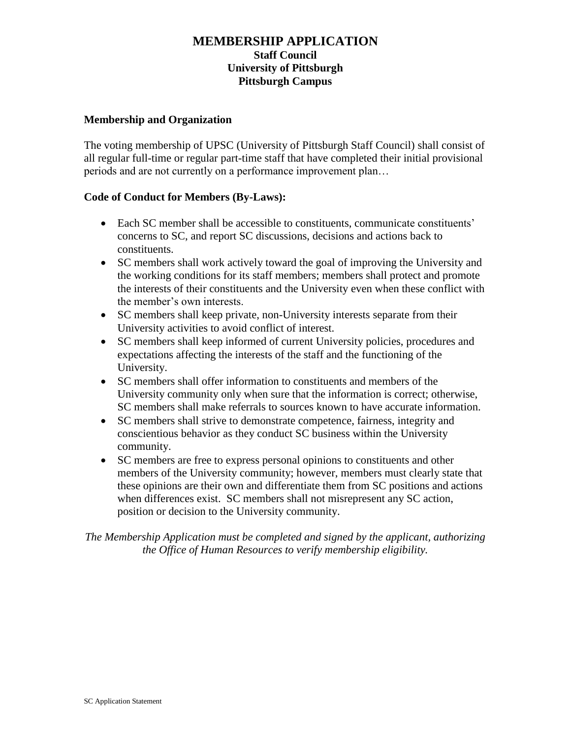## **MEMBERSHIP APPLICATION Staff Council University of Pittsburgh Pittsburgh Campus**

#### **Membership and Organization**

The voting membership of UPSC (University of Pittsburgh Staff Council) shall consist of all regular full-time or regular part-time staff that have completed their initial provisional periods and are not currently on a performance improvement plan…

### **Code of Conduct for Members (By-Laws):**

- Each SC member shall be accessible to constituents, communicate constituents' concerns to SC, and report SC discussions, decisions and actions back to constituents.
- SC members shall work actively toward the goal of improving the University and the working conditions for its staff members; members shall protect and promote the interests of their constituents and the University even when these conflict with the member's own interests.
- SC members shall keep private, non-University interests separate from their University activities to avoid conflict of interest.
- SC members shall keep informed of current University policies, procedures and expectations affecting the interests of the staff and the functioning of the University.
- SC members shall offer information to constituents and members of the University community only when sure that the information is correct; otherwise, SC members shall make referrals to sources known to have accurate information.
- SC members shall strive to demonstrate competence, fairness, integrity and conscientious behavior as they conduct SC business within the University community.
- SC members are free to express personal opinions to constituents and other members of the University community; however, members must clearly state that these opinions are their own and differentiate them from SC positions and actions when differences exist. SC members shall not misrepresent any SC action, position or decision to the University community.

*The Membership Application must be completed and signed by the applicant, authorizing the Office of Human Resources to verify membership eligibility.*